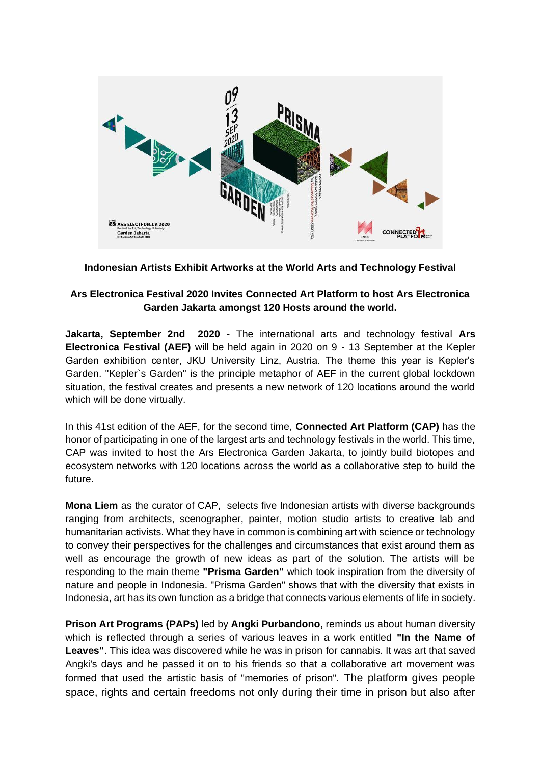

## **Indonesian Artists Exhibit Artworks at the World Arts and Technology Festival**

# **Ars Electronica Festival 2020 Invites Connected Art Platform to host Ars Electronica Garden Jakarta amongst 120 Hosts around the world.**

**Jakarta, September 2nd 2020** - The international arts and technology festival **Ars Electronica Festival (AEF)** will be held again in 2020 on 9 - 13 September at the Kepler Garden exhibition center, JKU University Linz, Austria. The theme this year is Kepler's Garden. "Kepler`s Garden" is the principle metaphor of AEF in the current global lockdown situation, the festival creates and presents a new network of 120 locations around the world which will be done virtually.

In this 41st edition of the AEF, for the second time, **Connected Art Platform (CAP)** has the honor of participating in one of the largest arts and technology festivals in the world. This time, CAP was invited to host the Ars Electronica Garden Jakarta, to jointly build biotopes and ecosystem networks with 120 locations across the world as a collaborative step to build the future.

**Mona Liem** as the curator of CAP, selects five Indonesian artists with diverse backgrounds ranging from architects, scenographer, painter, motion studio artists to creative lab and humanitarian activists. What they have in common is combining art with science or technology to convey their perspectives for the challenges and circumstances that exist around them as well as encourage the growth of new ideas as part of the solution. The artists will be responding to the main theme **"Prisma Garden"** which took inspiration from the diversity of nature and people in Indonesia. "Prisma Garden" shows that with the diversity that exists in Indonesia, art has its own function as a bridge that connects various elements of life in society.

**Prison Art Programs (PAPs)** led by **Angki Purbandono**, reminds us about human diversity which is reflected through a series of various leaves in a work entitled **"In the Name of Leaves"**. This idea was discovered while he was in prison for cannabis. It was art that saved Angki's days and he passed it on to his friends so that a collaborative art movement was formed that used the artistic basis of "memories of prison". The platform gives people space, rights and certain freedoms not only during their time in prison but also after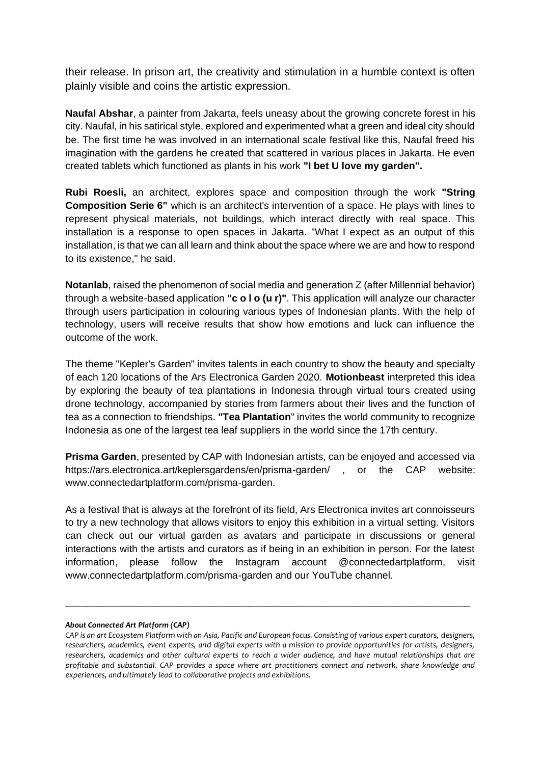their release. In prison art, the creativity and stimulation in a humble context is often plainly visible and coins the artistic expression.

**Naufal Abshar**, a painter from Jakarta, feels uneasy about the growing concrete forest in his city. Naufal, in his satirical style, explored and experimented what a green and ideal city should be. The first time he was involved in an international scale festival like this, Naufal freed his imagination with the gardens he created that scattered in various places in Jakarta. He even created tablets which functioned as plants in his work **"I bet U love my garden".** 

**Rubi Roesli,** an architect, explores space and composition through the work **"String Composition Serie 6"** which is an architect's intervention of a space. He plays with lines to represent physical materials, not buildings, which interact directly with real space. This installation is a response to open spaces in Jakarta. "What I expect as an output of this installation, is that we can all learn and think about the space where we are and how to respond to its existence," he said.

**Notanlab**, raised the phenomenon of social media and generation Z (after Millennial behavior) through a website-based application **"c o l o (u r)"**. This application will analyze our character through users participation in colouring various types of Indonesian plants. With the help of technology, users will receive results that show how emotions and luck can influence the outcome of the work.

The theme "Kepler's Garden" invites talents in each country to show the beauty and specialty of each 120 locations of the Ars Electronica Garden 2020. **Motionbeast** interpreted this idea by exploring the beauty of tea plantations in Indonesia through virtual tours created using drone technology, accompanied by stories from farmers about their lives and the function of tea as a connection to friendships. **"Tea Plantation**" invites the world community to recognize Indonesia as one of the largest tea leaf suppliers in the world since the 17th century.

**Prisma Garden**, presented by CAP with Indonesian artists, can be enjoyed and accessed via https://ars.electronica.art/keplersgardens/en/prisma-garden/, or the CAP website: www.connectedartplatform.com/prisma-garden.

As a festival that is always at the forefront of its field, Ars Electronica invites art connoisseurs to try a new technology that allows visitors to enjoy this exhibition in a virtual setting. Visitors can check out our virtual garden as avatars and participate in discussions or general interactions with the artists and curators as if being in an exhibition in person. For the latest information, please follow the Instagram account @connectedartplatform, visit www.connectedartplatform.com/prisma-garden and our YouTube channel.

#### *About Connected Art Platform (CAP)*

\_\_\_\_\_\_\_\_\_\_\_\_\_\_\_\_\_\_\_\_\_\_\_\_\_\_\_\_\_\_\_\_\_\_\_\_\_\_\_\_\_\_\_\_\_\_\_\_\_\_\_\_\_\_\_\_\_\_\_\_\_\_\_\_\_\_\_\_\_\_\_\_\_

*CAP is an art Ecosystem Platform with an Asia, Pacific and European focus. Consisting of various expert curators, designers, researchers, academics, event experts, and digital experts with a mission to provide opportunities for artists, designers, researchers, academics and other cultural experts to reach a wider audience, and have mutual relationships that are profitable and substantial. CAP provides a space where art practitioners connect and network, share knowledge and experiences, and ultimately lead to collaborative projects and exhibitions.*